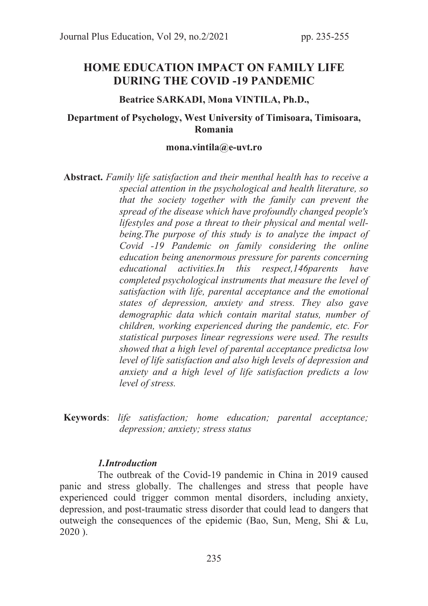# HOME EDUCATION IMPACT ON FAMILY LIFE DURING THE COVID -19 PANDEMIC

### Beatrice SARKADI, Mona VINTILA, Ph.D.,

## Department of Psychology, West University of Timisoara, Timisoara, Romania

#### mona.vintila@e-uvt.ro

Abstract. Family life satisfaction and their menthal health has to receive a special attention in the psychological and health literature, so that the society together with the family can prevent the spread of the disease which have profoundly changed people's lifestyles and pose a threat to their physical and mental wellbeing.The purpose of this study is to analyze the impact of Covid -19 Pandemic on family considering the online education being anenormous pressure for parents concerning educational activities.In this respect,146parents have completed psychological instruments that measure the level of satisfaction with life, parental acceptance and the emotional states of depression, anxiety and stress. They also gave demographic data which contain marital status, number of children, working experienced during the pandemic, etc. For statistical purposes linear regressions were used. The results showed that a high level of parental acceptance predictsa low level of life satisfaction and also high levels of depression and anxiety and a high level of life satisfaction predicts a low level of stress.

Keywords: life satisfaction; home education; parental acceptance; depression; anxiety; stress status

## 1.Introduction

 The outbreak of the Covid-19 pandemic in China in 2019 caused panic and stress globally. The challenges and stress that people have experienced could trigger common mental disorders, including anxiety, depression, and post-traumatic stress disorder that could lead to dangers that outweigh the consequences of the epidemic (Bao, Sun, Meng, Shi & Lu, 2020 ).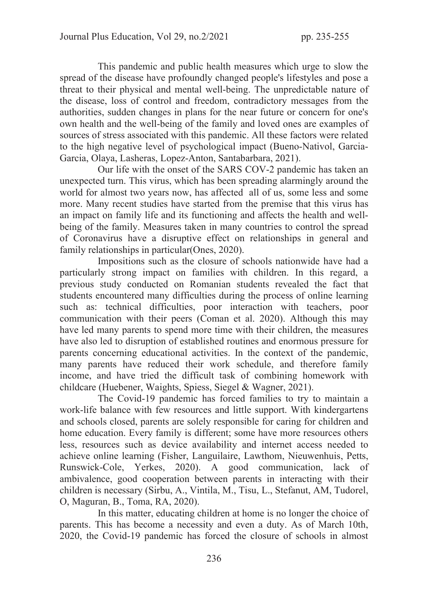This pandemic and public health measures which urge to slow the spread of the disease have profoundly changed people's lifestyles and pose a threat to their physical and mental well-being. The unpredictable nature of the disease, loss of control and freedom, contradictory messages from the authorities, sudden changes in plans for the near future or concern for one's own health and the well-being of the family and loved ones are examples of sources of stress associated with this pandemic. All these factors were related to the high negative level of psychological impact (Bueno-Nativol, Garcia-Garcia, Olaya, Lasheras, Lopez-Anton, Santabarbara, 2021).

 Our life with the onset of the SARS COV-2 pandemic has taken an unexpected turn. This virus, which has been spreading alarmingly around the world for almost two years now, has affected all of us, some less and some more. Many recent studies have started from the premise that this virus has an impact on family life and its functioning and affects the health and wellbeing of the family. Measures taken in many countries to control the spread of Coronavirus have a disruptive effect on relationships in general and family relationships in particular(Ones, 2020).

 Impositions such as the closure of schools nationwide have had a particularly strong impact on families with children. In this regard, a previous study conducted on Romanian students revealed the fact that students encountered many difficulties during the process of online learning such as: technical difficulties, poor interaction with teachers, poor communication with their peers (Coman et al. 2020). Although this may have led many parents to spend more time with their children, the measures have also led to disruption of established routines and enormous pressure for parents concerning educational activities. In the context of the pandemic, many parents have reduced their work schedule, and therefore family income, and have tried the difficult task of combining homework with childcare (Huebener, Waights, Spiess, Siegel & Wagner, 2021).

 The Covid-19 pandemic has forced families to try to maintain a work-life balance with few resources and little support. With kindergartens and schools closed, parents are solely responsible for caring for children and home education. Every family is different; some have more resources others less, resources such as device availability and internet access needed to achieve online learning (Fisher, Languilaire, Lawthom, Nieuwenhuis, Petts, Runswick-Cole, Yerkes, 2020). A good communication, lack of ambivalence, good cooperation between parents in interacting with their children is necessary (Sirbu, A., Vintila, M., Tisu, L., Stefanut, AM, Tudorel, O, Maguran, B., Toma, RA, 2020).

 In this matter, educating children at home is no longer the choice of parents. This has become a necessity and even a duty. As of March 10th, 2020, the Covid-19 pandemic has forced the closure of schools in almost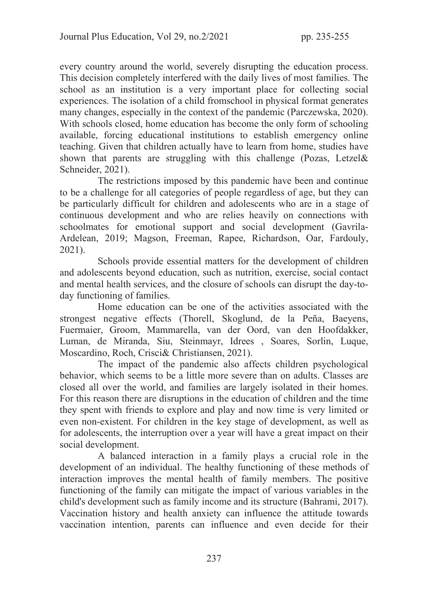every country around the world, severely disrupting the education process. This decision completely interfered with the daily lives of most families. The school as an institution is a very important place for collecting social experiences. The isolation of a child fromschool in physical format generates many changes, especially in the context of the pandemic (Parczewska, 2020). With schools closed, home education has become the only form of schooling available, forcing educational institutions to establish emergency online teaching. Given that children actually have to learn from home, studies have shown that parents are struggling with this challenge (Pozas, Letzel& Schneider, 2021).

 The restrictions imposed by this pandemic have been and continue to be a challenge for all categories of people regardless of age, but they can be particularly difficult for children and adolescents who are in a stage of continuous development and who are relies heavily on connections with schoolmates for emotional support and social development (Gavrila-Ardelean, 2019; Magson, Freeman, Rapee, Richardson, Oar, Fardouly, 2021).

 Schools provide essential matters for the development of children and adolescents beyond education, such as nutrition, exercise, social contact and mental health services, and the closure of schools can disrupt the day-today functioning of families.

 Home education can be one of the activities associated with the strongest negative effects (Thorell, Skoglund, de la Peña, Baeyens, Fuermaier, Groom, Mammarella, van der Oord, van den Hoofdakker, Luman, de Miranda, Siu, Steinmayr, Idrees , Soares, Sorlin, Luque, Moscardino, Roch, Crisci& Christiansen, 2021).

 The impact of the pandemic also affects children psychological behavior, which seems to be a little more severe than on adults. Classes are closed all over the world, and families are largely isolated in their homes. For this reason there are disruptions in the education of children and the time they spent with friends to explore and play and now time is very limited or even non-existent. For children in the key stage of development, as well as for adolescents, the interruption over a year will have a great impact on their social development.

 A balanced interaction in a family plays a crucial role in the development of an individual. The healthy functioning of these methods of interaction improves the mental health of family members. The positive functioning of the family can mitigate the impact of various variables in the child's development such as family income and its structure (Bahrami, 2017). Vaccination history and health anxiety can influence the attitude towards vaccination intention, parents can influence and even decide for their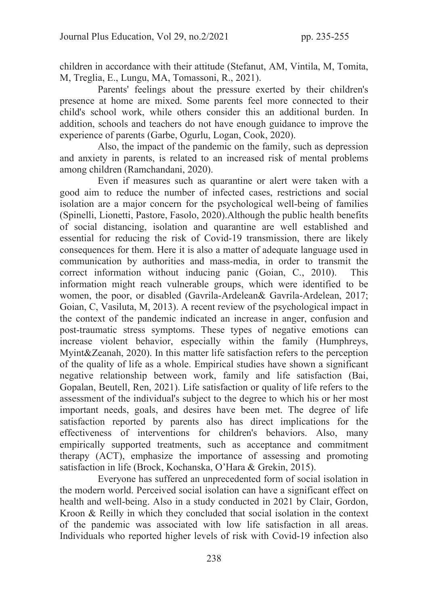children in accordance with their attitude (Stefanut, AM, Vintila, M, Tomita, M, Treglia, E., Lungu, MA, Tomassoni, R., 2021).

 Parents' feelings about the pressure exerted by their children's presence at home are mixed. Some parents feel more connected to their child's school work, while others consider this an additional burden. In addition, schools and teachers do not have enough guidance to improve the experience of parents (Garbe, Ogurlu, Logan, Cook, 2020).

 Also, the impact of the pandemic on the family, such as depression and anxiety in parents, is related to an increased risk of mental problems among children (Ramchandani, 2020).

 Even if measures such as quarantine or alert were taken with a good aim to reduce the number of infected cases, restrictions and social isolation are a major concern for the psychological well-being of families (Spinelli, Lionetti, Pastore, Fasolo, 2020).Although the public health benefits of social distancing, isolation and quarantine are well established and essential for reducing the risk of Covid-19 transmission, there are likely consequences for them. Here it is also a matter of adequate language used in communication by authorities and mass-media, in order to transmit the correct information without inducing panic (Goian, C., 2010). This information might reach vulnerable groups, which were identified to be women, the poor, or disabled (Gavrila-Ardelean& Gavrila-Ardelean, 2017; Goian, C, Vasiluta, M, 2013). A recent review of the psychological impact in the context of the pandemic indicated an increase in anger, confusion and post-traumatic stress symptoms. These types of negative emotions can increase violent behavior, especially within the family (Humphreys, Myint&Zeanah, 2020). In this matter life satisfaction refers to the perception of the quality of life as a whole. Empirical studies have shown a significant negative relationship between work, family and life satisfaction (Bai, Gopalan, Beutell, Ren, 2021). Life satisfaction or quality of life refers to the assessment of the individual's subject to the degree to which his or her most important needs, goals, and desires have been met. The degree of life satisfaction reported by parents also has direct implications for the effectiveness of interventions for children's behaviors. Also, many empirically supported treatments, such as acceptance and commitment therapy (ACT), emphasize the importance of assessing and promoting satisfaction in life (Brock, Kochanska, O'Hara & Grekin, 2015).

 Everyone has suffered an unprecedented form of social isolation in the modern world. Perceived social isolation can have a significant effect on health and well-being. Also in a study conducted in 2021 by Clair, Gordon, Kroon & Reilly in which they concluded that social isolation in the context of the pandemic was associated with low life satisfaction in all areas. Individuals who reported higher levels of risk with Covid-19 infection also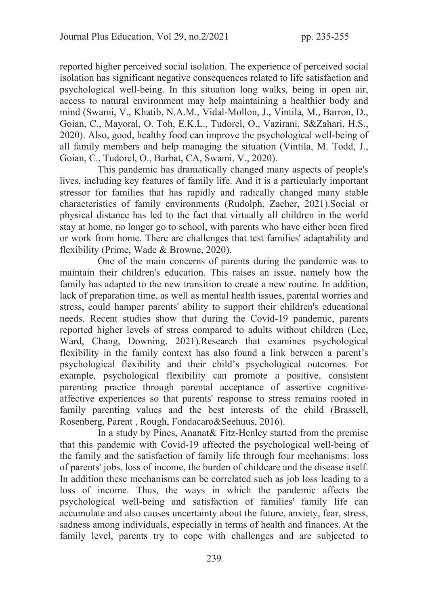reported higher perceived social isolation. The experience of perceived social isolation has significant negative consequences related to life satisfaction and psychological well-being. In this situation long walks, being in open air, access to natural environment may help maintaining a healthier body and mind (Swami, V., Khatib, N.A.M., Vidal-Mollon, J., Vintila, M., Barron, D., Goian, C., Mayoral, O. Toh, E.K.L., Tudorel, O., Vazirani, S&Zahari, H.S., 2020). Also, good, healthy food can improve the psychological well-being of all family members and help managing the situation (Vintila, M. Todd, J., Goian, C., Tudorel, O., Barbat, CA, Swami, V., 2020).

 This pandemic has dramatically changed many aspects of people's lives, including key features of family life. And it is a particularly important stressor for families that has rapidly and radically changed many stable characteristics of family environments (Rudolph, Zacher, 2021).Social or physical distance has led to the fact that virtually all children in the world stay at home, no longer go to school, with parents who have either been fired or work from home. There are challenges that test families' adaptability and flexibility (Prime, Wade & Browne, 2020).

 One of the main concerns of parents during the pandemic was to maintain their children's education. This raises an issue, namely how the family has adapted to the new transition to create a new routine. In addition, lack of preparation time, as well as mental health issues, parental worries and stress, could hamper parents' ability to support their children's educational needs. Recent studies show that during the Covid-19 pandemic, parents reported higher levels of stress compared to adults without children (Lee, Ward, Chang, Downing, 2021).Research that examines psychological flexibility in the family context has also found a link between a parent's psychological flexibility and their child's psychological outcomes. For example, psychological flexibility can promote a positive, consistent parenting practice through parental acceptance of assertive cognitiveaffective experiences so that parents' response to stress remains rooted in family parenting values and the best interests of the child (Brassell, Rosenberg, Parent , Rough, Fondacaro&Seehuus, 2016).

 In a study by Pines, Ananat& Fitz-Henley started from the premise that this pandemic with Covid-19 affected the psychological well-being of the family and the satisfaction of family life through four mechanisms: loss of parents' jobs, loss of income, the burden of childcare and the disease itself. In addition these mechanisms can be correlated such as job loss leading to a loss of income. Thus, the ways in which the pandemic affects the psychological well-being and satisfaction of families' family life can accumulate and also causes uncertainty about the future, anxiety, fear, stress, sadness among individuals, especially in terms of health and finances. At the family level, parents try to cope with challenges and are subjected to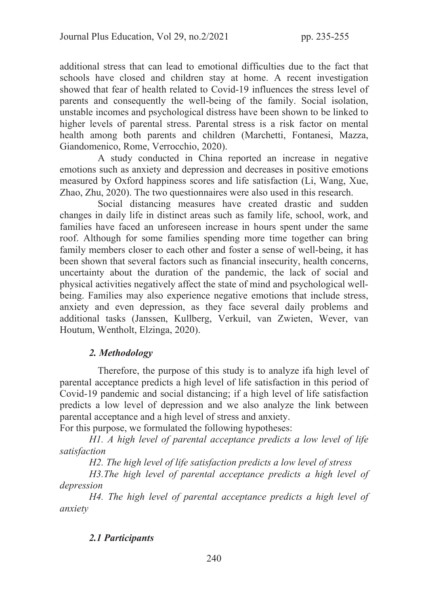additional stress that can lead to emotional difficulties due to the fact that schools have closed and children stay at home. A recent investigation showed that fear of health related to Covid-19 influences the stress level of parents and consequently the well-being of the family. Social isolation, unstable incomes and psychological distress have been shown to be linked to higher levels of parental stress. Parental stress is a risk factor on mental health among both parents and children (Marchetti, Fontanesi, Mazza, Giandomenico, Rome, Verrocchio, 2020).

 A study conducted in China reported an increase in negative emotions such as anxiety and depression and decreases in positive emotions measured by Oxford happiness scores and life satisfaction (Li, Wang, Xue, Zhao, Zhu, 2020). The two questionnaires were also used in this research.

 Social distancing measures have created drastic and sudden changes in daily life in distinct areas such as family life, school, work, and families have faced an unforeseen increase in hours spent under the same roof. Although for some families spending more time together can bring family members closer to each other and foster a sense of well-being, it has been shown that several factors such as financial insecurity, health concerns, uncertainty about the duration of the pandemic, the lack of social and physical activities negatively affect the state of mind and psychological wellbeing. Families may also experience negative emotions that include stress, anxiety and even depression, as they face several daily problems and additional tasks (Janssen, Kullberg, Verkuil, van Zwieten, Wever, van Houtum, Wentholt, Elzinga, 2020).

# 2. Methodology

 Therefore, the purpose of this study is to analyze ifa high level of parental acceptance predicts a high level of life satisfaction in this period of Covid-19 pandemic and social distancing; if a high level of life satisfaction predicts a low level of depression and we also analyze the link between parental acceptance and a high level of stress and anxiety.

For this purpose, we formulated the following hypotheses:

H1. A high level of parental acceptance predicts a low level of life satisfaction

H2. The high level of life satisfaction predicts a low level of stress

H3.The high level of parental acceptance predicts a high level of depression

 H4. The high level of parental acceptance predicts a high level of anxiety

# 2.1 Participants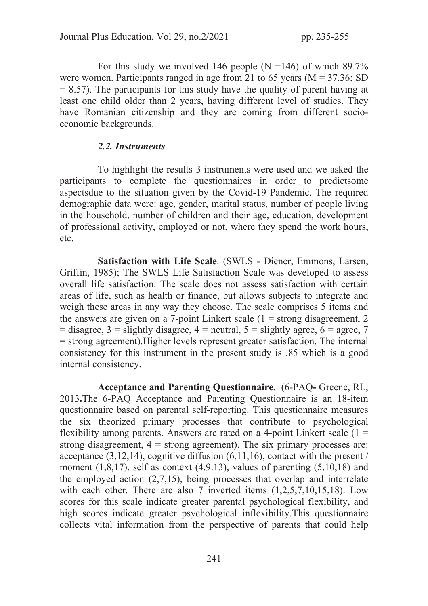For this study we involved 146 people (N =146) of which  $89.7\%$ were women. Participants ranged in age from 21 to 65 years ( $M = 37.36$ ; SD  $= 8.57$ ). The participants for this study have the quality of parent having at least one child older than 2 years, having different level of studies. They have Romanian citizenship and they are coming from different socioeconomic backgrounds.

### 2.2. Instruments

 To highlight the results 3 instruments were used and we asked the participants to complete the questionnaires in order to predictsome aspectsdue to the situation given by the Covid-19 Pandemic. The required demographic data were: age, gender, marital status, number of people living in the household, number of children and their age, education, development of professional activity, employed or not, where they spend the work hours, etc.

 Satisfaction with Life Scale. (SWLS - Diener, Emmons, Larsen, Griffin, 1985); The SWLS Life Satisfaction Scale was developed to assess overall life satisfaction. The scale does not assess satisfaction with certain areas of life, such as health or finance, but allows subjects to integrate and weigh these areas in any way they choose. The scale comprises 5 items and the answers are given on a 7-point Linkert scale  $(1 =$  strong disagreement, 2  $=$  disagree, 3 = slightly disagree, 4 = neutral, 5 = slightly agree, 6 = agree, 7 = strong agreement).Higher levels represent greater satisfaction. The internal consistency for this instrument in the present study is .85 which is a good internal consistency.

 Acceptance and Parenting Questionnaire. (6-PAQ- Greene, RL, 2013.The 6-PAQ Acceptance and Parenting Questionnaire is an 18-item questionnaire based on parental self-reporting. This questionnaire measures the six theorized primary processes that contribute to psychological flexibility among parents. Answers are rated on a 4-point Linkert scale  $(1 =$ strong disagreement,  $4 =$  strong agreement). The six primary processes are: acceptance  $(3,12,14)$ , cognitive diffusion  $(6,11,16)$ , contact with the present / moment  $(1,8,17)$ , self as context  $(4.9.13)$ , values of parenting  $(5,10,18)$  and the employed action (2,7,15), being processes that overlap and interrelate with each other. There are also 7 inverted items  $(1,2,5,7,10,15,18)$ . Low scores for this scale indicate greater parental psychological flexibility, and high scores indicate greater psychological inflexibility.This questionnaire collects vital information from the perspective of parents that could help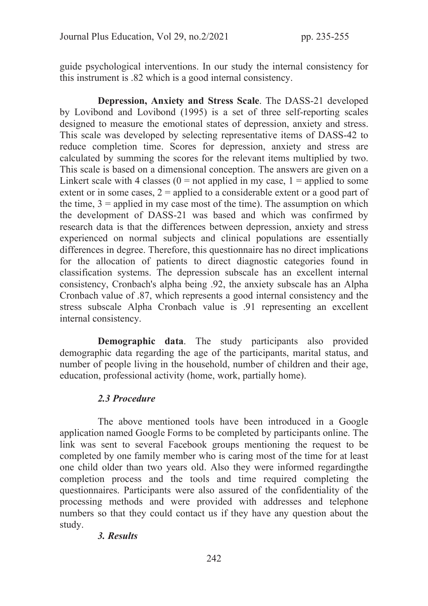guide psychological interventions. In our study the internal consistency for this instrument is .82 which is a good internal consistency.

Depression, Anxiety and Stress Scale. The DASS-21 developed by Lovibond and Lovibond (1995) is a set of three self-reporting scales designed to measure the emotional states of depression, anxiety and stress. This scale was developed by selecting representative items of DASS-42 to reduce completion time. Scores for depression, anxiety and stress are calculated by summing the scores for the relevant items multiplied by two. This scale is based on a dimensional conception. The answers are given on a Linkert scale with 4 classes  $(0 = not applied in my case, 1 = applied to some$ extent or in some cases,  $2$  = applied to a considerable extent or a good part of the time,  $3$  = applied in my case most of the time). The assumption on which the development of DASS-21 was based and which was confirmed by research data is that the differences between depression, anxiety and stress experienced on normal subjects and clinical populations are essentially differences in degree. Therefore, this questionnaire has no direct implications for the allocation of patients to direct diagnostic categories found in classification systems. The depression subscale has an excellent internal consistency, Cronbach's alpha being .92, the anxiety subscale has an Alpha Cronbach value of .87, which represents a good internal consistency and the stress subscale Alpha Cronbach value is .91 representing an excellent internal consistency.

Demographic data. The study participants also provided demographic data regarding the age of the participants, marital status, and number of people living in the household, number of children and their age, education, professional activity (home, work, partially home).

## 2.3 Procedure

 The above mentioned tools have been introduced in a Google application named Google Forms to be completed by participants online. The link was sent to several Facebook groups mentioning the request to be completed by one family member who is caring most of the time for at least one child older than two years old. Also they were informed regardingthe completion process and the tools and time required completing the questionnaires. Participants were also assured of the confidentiality of the processing methods and were provided with addresses and telephone numbers so that they could contact us if they have any question about the study.

## 3. Results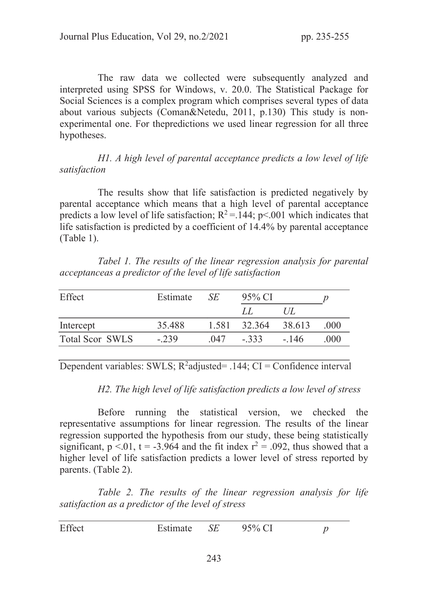The raw data we collected were subsequently analyzed and interpreted using SPSS for Windows, v. 20.0. The Statistical Package for Social Sciences is a complex program which comprises several types of data about various subjects (Coman&Netedu, 2011, p.130) This study is nonexperimental one. For thepredictions we used linear regression for all three hypotheses.

 H1. A high level of parental acceptance predicts a low level of life satisfaction

 The results show that life satisfaction is predicted negatively by parental acceptance which means that a high level of parental acceptance predicts a low level of life satisfaction;  $R^2 = 144$ ; p<.001 which indicates that life satisfaction is predicted by a coefficient of 14.4% by parental acceptance (Table 1).

 Tabel 1. The results of the linear regression analysis for parental acceptanceas a predictor of the level of life satisfaction

| Effect                 | Estimate | SE.  | 95% CI              |               |       |
|------------------------|----------|------|---------------------|---------------|-------|
|                        |          |      | LL                  | $\frac{1}{1}$ |       |
| Intercept              | 35.488   |      | 1.581 32.364 38.613 |               | (000) |
| <b>Total Scor SWLS</b> | $-.239$  | .047 | $-.333$ $-.146$     |               | (000) |

Dependent variables: SWLS;  $R^2$ adjusted= .144; CI = Confidence interval

H2. The high level of life satisfaction predicts a low level of stress

 Before running the statistical version, we checked the representative assumptions for linear regression. The results of the linear regression supported the hypothesis from our study, these being statistically significant,  $p < 0.01$ ,  $t = -3.964$  and the fit index  $r^2 = .092$ , thus showed that a higher level of life satisfaction predicts a lower level of stress reported by parents. (Table 2).

 Table 2. The results of the linear regression analysis for life satisfaction as a predictor of the level of stress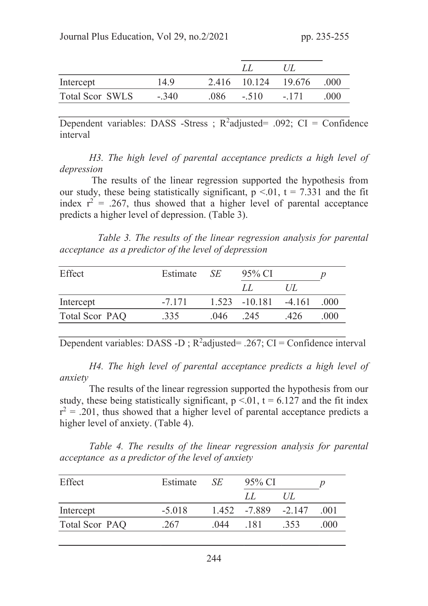|                        |         |      |         | 1/L                 |       |
|------------------------|---------|------|---------|---------------------|-------|
| Intercept              | 14.9    |      |         | 2.416 10.124 19.676 | .000  |
| <b>Total Scor SWLS</b> | $-.340$ | .086 | $-.510$ | $-.171$             | (000) |

Dependent variables: DASS -Stress ;  $R^2$ adjusted= .092; CI = Confidence interval

 H3. The high level of parental acceptance predicts a high level of depression

 The results of the linear regression supported the hypothesis from our study, these being statistically significant,  $p < 0.01$ ,  $t = 7.331$  and the fit index  $r^2 = .267$ , thus showed that a higher level of parental acceptance predicts a higher level of depression. (Table 3).

 Table 3. The results of the linear regression analysis for parental acceptance as a predictor of the level of depression

| Effect         | Estimate $SE$ |      | 95% CI                   |      |      |
|----------------|---------------|------|--------------------------|------|------|
|                |               |      | LL                       | U/L  |      |
| Intercept      | $-7.171$      |      | $1.523 - 10.181 - 4.161$ |      | .000 |
| Total Scor PAQ | .335          | .046 | .245                     | .426 | .000 |

Dependent variables: DASS -D;  $R^2$ adjusted= .267; CI = Confidence interval

H4. The high level of parental acceptance predicts a high level of anxiety

 The results of the linear regression supported the hypothesis from our study, these being statistically significant,  $p \le 0.01$ ,  $t = 6.127$  and the fit index  $r^2$  = .201, thus showed that a higher level of parental acceptance predicts a higher level of anxiety. (Table 4).

 Table 4. The results of the linear regression analysis for parental acceptance as a predictor of the level of anxiety

| Effect         | Estimate | <b>SE</b> | $95\%$ CI             |        |      |
|----------------|----------|-----------|-----------------------|--------|------|
|                |          |           | LL                    | $U\!L$ |      |
| Intercept      | $-5.018$ |           | $1.452 -7.889 -2.147$ |        | (001 |
| Total Scor PAQ | .267     | .044      | .181                  | .353   | .000 |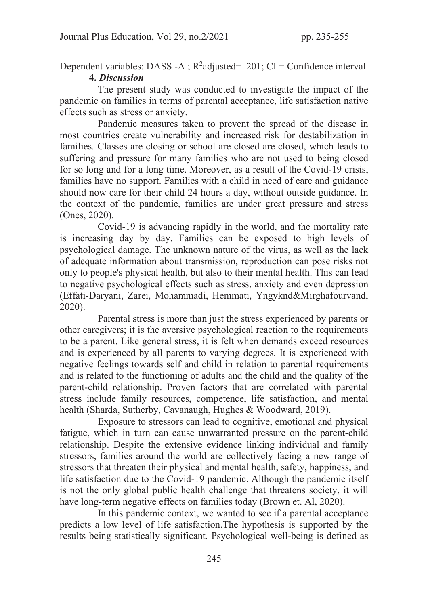Dependent variables: DASS -A ;  $R^2$ adjusted= .201; CI = Confidence interval 4. Discussion

 The present study was conducted to investigate the impact of the pandemic on families in terms of parental acceptance, life satisfaction native effects such as stress or anxiety.

 Pandemic measures taken to prevent the spread of the disease in most countries create vulnerability and increased risk for destabilization in families. Classes are closing or school are closed are closed, which leads to suffering and pressure for many families who are not used to being closed for so long and for a long time. Moreover, as a result of the Covid-19 crisis, families have no support. Families with a child in need of care and guidance should now care for their child 24 hours a day, without outside guidance. In the context of the pandemic, families are under great pressure and stress (Ones, 2020).

 Covid-19 is advancing rapidly in the world, and the mortality rate is increasing day by day. Families can be exposed to high levels of psychological damage. The unknown nature of the virus, as well as the lack of adequate information about transmission, reproduction can pose risks not only to people's physical health, but also to their mental health. This can lead to negative psychological effects such as stress, anxiety and even depression (Effati-Daryani, Zarei, Mohammadi, Hemmati, Yngyknd&Mirghafourvand, 2020).

 Parental stress is more than just the stress experienced by parents or other caregivers; it is the aversive psychological reaction to the requirements to be a parent. Like general stress, it is felt when demands exceed resources and is experienced by all parents to varying degrees. It is experienced with negative feelings towards self and child in relation to parental requirements and is related to the functioning of adults and the child and the quality of the parent-child relationship. Proven factors that are correlated with parental stress include family resources, competence, life satisfaction, and mental health (Sharda, Sutherby, Cavanaugh, Hughes & Woodward, 2019).

 Exposure to stressors can lead to cognitive, emotional and physical fatigue, which in turn can cause unwarranted pressure on the parent-child relationship. Despite the extensive evidence linking individual and family stressors, families around the world are collectively facing a new range of stressors that threaten their physical and mental health, safety, happiness, and life satisfaction due to the Covid-19 pandemic. Although the pandemic itself is not the only global public health challenge that threatens society, it will have long-term negative effects on families today (Brown et. Al, 2020).

 In this pandemic context, we wanted to see if a parental acceptance predicts a low level of life satisfaction.The hypothesis is supported by the results being statistically significant. Psychological well-being is defined as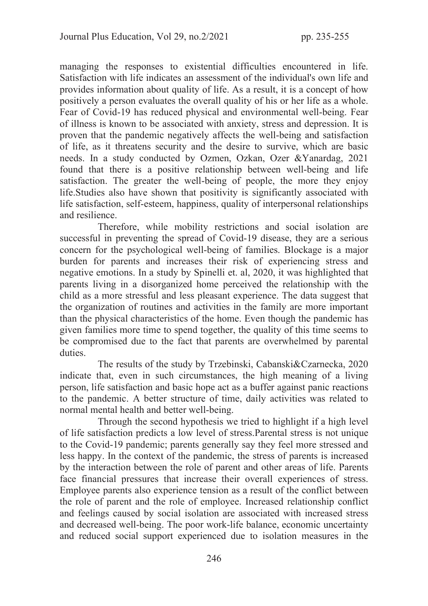managing the responses to existential difficulties encountered in life. Satisfaction with life indicates an assessment of the individual's own life and provides information about quality of life. As a result, it is a concept of how positively a person evaluates the overall quality of his or her life as a whole. Fear of Covid-19 has reduced physical and environmental well-being. Fear of illness is known to be associated with anxiety, stress and depression. It is proven that the pandemic negatively affects the well-being and satisfaction of life, as it threatens security and the desire to survive, which are basic needs. In a study conducted by Ozmen, Ozkan, Ozer &Yanardag, 2021 found that there is a positive relationship between well-being and life satisfaction. The greater the well-being of people, the more they enjoy life.Studies also have shown that positivity is significantly associated with life satisfaction, self-esteem, happiness, quality of interpersonal relationships and resilience.

 Therefore, while mobility restrictions and social isolation are successful in preventing the spread of Covid-19 disease, they are a serious concern for the psychological well-being of families. Blockage is a major burden for parents and increases their risk of experiencing stress and negative emotions. In a study by Spinelli et. al, 2020, it was highlighted that parents living in a disorganized home perceived the relationship with the child as a more stressful and less pleasant experience. The data suggest that the organization of routines and activities in the family are more important than the physical characteristics of the home. Even though the pandemic has given families more time to spend together, the quality of this time seems to be compromised due to the fact that parents are overwhelmed by parental duties.

 The results of the study by Trzebinski, Cabanski&Czarnecka, 2020 indicate that, even in such circumstances, the high meaning of a living person, life satisfaction and basic hope act as a buffer against panic reactions to the pandemic. A better structure of time, daily activities was related to normal mental health and better well-being.

 Through the second hypothesis we tried to highlight if a high level of life satisfaction predicts a low level of stress.Parental stress is not unique to the Covid-19 pandemic; parents generally say they feel more stressed and less happy. In the context of the pandemic, the stress of parents is increased by the interaction between the role of parent and other areas of life. Parents face financial pressures that increase their overall experiences of stress. Employee parents also experience tension as a result of the conflict between the role of parent and the role of employee. Increased relationship conflict and feelings caused by social isolation are associated with increased stress and decreased well-being. The poor work-life balance, economic uncertainty and reduced social support experienced due to isolation measures in the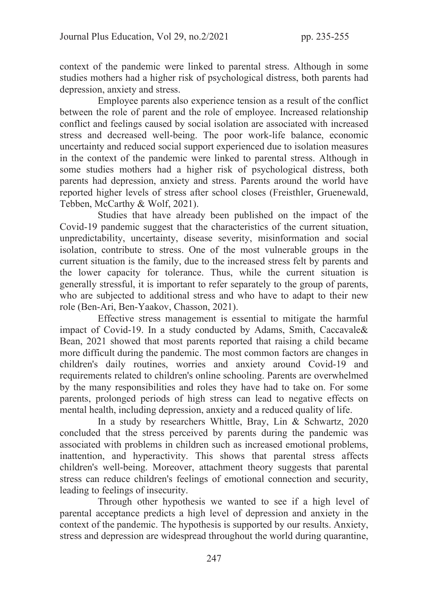context of the pandemic were linked to parental stress. Although in some studies mothers had a higher risk of psychological distress, both parents had depression, anxiety and stress.

 Employee parents also experience tension as a result of the conflict between the role of parent and the role of employee. Increased relationship conflict and feelings caused by social isolation are associated with increased stress and decreased well-being. The poor work-life balance, economic uncertainty and reduced social support experienced due to isolation measures in the context of the pandemic were linked to parental stress. Although in some studies mothers had a higher risk of psychological distress, both parents had depression, anxiety and stress. Parents around the world have reported higher levels of stress after school closes (Freisthler, Gruenewald, Tebben, McCarthy & Wolf, 2021).

 Studies that have already been published on the impact of the Covid-19 pandemic suggest that the characteristics of the current situation, unpredictability, uncertainty, disease severity, misinformation and social isolation, contribute to stress. One of the most vulnerable groups in the current situation is the family, due to the increased stress felt by parents and the lower capacity for tolerance. Thus, while the current situation is generally stressful, it is important to refer separately to the group of parents, who are subjected to additional stress and who have to adapt to their new role (Ben-Ari, Ben-Yaakov, Chasson, 2021).

 Effective stress management is essential to mitigate the harmful impact of Covid-19. In a study conducted by Adams, Smith, Caccavale& Bean, 2021 showed that most parents reported that raising a child became more difficult during the pandemic. The most common factors are changes in children's daily routines, worries and anxiety around Covid-19 and requirements related to children's online schooling. Parents are overwhelmed by the many responsibilities and roles they have had to take on. For some parents, prolonged periods of high stress can lead to negative effects on mental health, including depression, anxiety and a reduced quality of life.

 In a study by researchers Whittle, Bray, Lin & Schwartz, 2020 concluded that the stress perceived by parents during the pandemic was associated with problems in children such as increased emotional problems, inattention, and hyperactivity. This shows that parental stress affects children's well-being. Moreover, attachment theory suggests that parental stress can reduce children's feelings of emotional connection and security, leading to feelings of insecurity.

 Through other hypothesis we wanted to see if a high level of parental acceptance predicts a high level of depression and anxiety in the context of the pandemic. The hypothesis is supported by our results. Anxiety, stress and depression are widespread throughout the world during quarantine,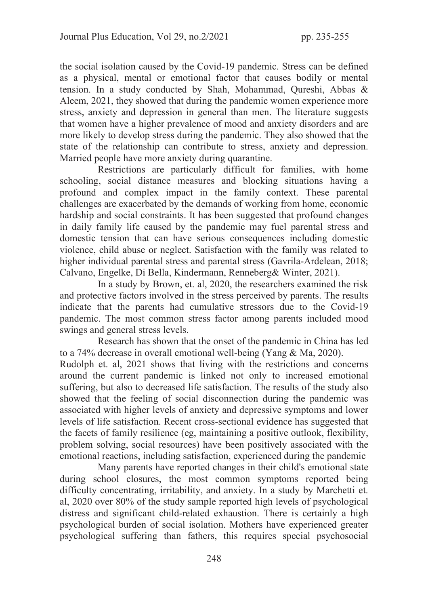the social isolation caused by the Covid-19 pandemic. Stress can be defined as a physical, mental or emotional factor that causes bodily or mental tension. In a study conducted by Shah, Mohammad, Qureshi, Abbas & Aleem, 2021, they showed that during the pandemic women experience more stress, anxiety and depression in general than men. The literature suggests that women have a higher prevalence of mood and anxiety disorders and are more likely to develop stress during the pandemic. They also showed that the state of the relationship can contribute to stress, anxiety and depression. Married people have more anxiety during quarantine.

 Restrictions are particularly difficult for families, with home schooling, social distance measures and blocking situations having a profound and complex impact in the family context. These parental challenges are exacerbated by the demands of working from home, economic hardship and social constraints. It has been suggested that profound changes in daily family life caused by the pandemic may fuel parental stress and domestic tension that can have serious consequences including domestic violence, child abuse or neglect. Satisfaction with the family was related to higher individual parental stress and parental stress (Gavrila-Ardelean, 2018; Calvano, Engelke, Di Bella, Kindermann, Renneberg& Winter, 2021).

 In a study by Brown, et. al, 2020, the researchers examined the risk and protective factors involved in the stress perceived by parents. The results indicate that the parents had cumulative stressors due to the Covid-19 pandemic. The most common stress factor among parents included mood swings and general stress levels.

 Research has shown that the onset of the pandemic in China has led to a 74% decrease in overall emotional well-being (Yang & Ma, 2020). Rudolph et. al, 2021 shows that living with the restrictions and concerns around the current pandemic is linked not only to increased emotional suffering, but also to decreased life satisfaction. The results of the study also showed that the feeling of social disconnection during the pandemic was associated with higher levels of anxiety and depressive symptoms and lower levels of life satisfaction. Recent cross-sectional evidence has suggested that the facets of family resilience (eg, maintaining a positive outlook, flexibility, problem solving, social resources) have been positively associated with the emotional reactions, including satisfaction, experienced during the pandemic

 Many parents have reported changes in their child's emotional state during school closures, the most common symptoms reported being difficulty concentrating, irritability, and anxiety. In a study by Marchetti et. al, 2020 over 80% of the study sample reported high levels of psychological distress and significant child-related exhaustion. There is certainly a high psychological burden of social isolation. Mothers have experienced greater psychological suffering than fathers, this requires special psychosocial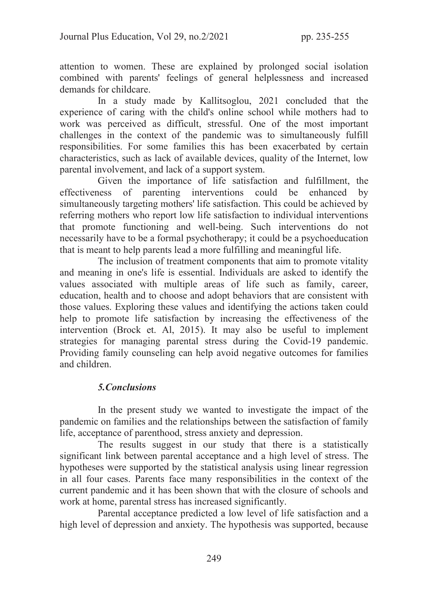attention to women. These are explained by prolonged social isolation combined with parents' feelings of general helplessness and increased demands for childcare.

 In a study made by Kallitsoglou, 2021 concluded that the experience of caring with the child's online school while mothers had to work was perceived as difficult, stressful. One of the most important challenges in the context of the pandemic was to simultaneously fulfill responsibilities. For some families this has been exacerbated by certain characteristics, such as lack of available devices, quality of the Internet, low parental involvement, and lack of a support system.

 Given the importance of life satisfaction and fulfillment, the effectiveness of parenting interventions could be enhanced by simultaneously targeting mothers' life satisfaction. This could be achieved by referring mothers who report low life satisfaction to individual interventions that promote functioning and well-being. Such interventions do not necessarily have to be a formal psychotherapy; it could be a psychoeducation that is meant to help parents lead a more fulfilling and meaningful life.

 The inclusion of treatment components that aim to promote vitality and meaning in one's life is essential. Individuals are asked to identify the values associated with multiple areas of life such as family, career, education, health and to choose and adopt behaviors that are consistent with those values. Exploring these values and identifying the actions taken could help to promote life satisfaction by increasing the effectiveness of the intervention (Brock et. Al, 2015). It may also be useful to implement strategies for managing parental stress during the Covid-19 pandemic. Providing family counseling can help avoid negative outcomes for families and children.

## 5.Conclusions

 In the present study we wanted to investigate the impact of the pandemic on families and the relationships between the satisfaction of family life, acceptance of parenthood, stress anxiety and depression.

 The results suggest in our study that there is a statistically significant link between parental acceptance and a high level of stress. The hypotheses were supported by the statistical analysis using linear regression in all four cases. Parents face many responsibilities in the context of the current pandemic and it has been shown that with the closure of schools and work at home, parental stress has increased significantly.

 Parental acceptance predicted a low level of life satisfaction and a high level of depression and anxiety. The hypothesis was supported, because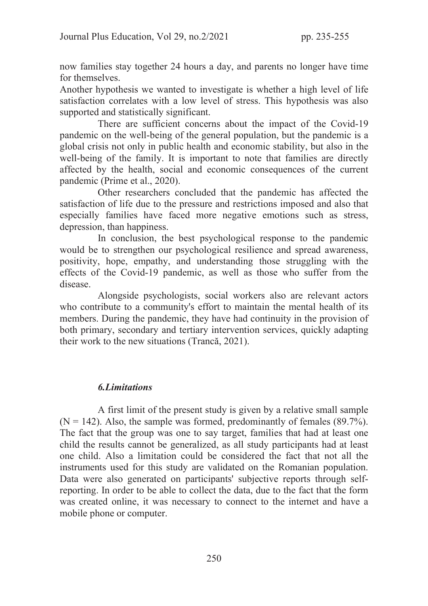now families stay together 24 hours a day, and parents no longer have time for themselves.

Another hypothesis we wanted to investigate is whether a high level of life satisfaction correlates with a low level of stress. This hypothesis was also supported and statistically significant.

There are sufficient concerns about the impact of the Covid-19 pandemic on the well-being of the general population, but the pandemic is a global crisis not only in public health and economic stability, but also in the well-being of the family. It is important to note that families are directly affected by the health, social and economic consequences of the current pandemic (Prime et al., 2020).

 Other researchers concluded that the pandemic has affected the satisfaction of life due to the pressure and restrictions imposed and also that especially families have faced more negative emotions such as stress, depression, than happiness.

 In conclusion, the best psychological response to the pandemic would be to strengthen our psychological resilience and spread awareness, positivity, hope, empathy, and understanding those struggling with the effects of the Covid-19 pandemic, as well as those who suffer from the disease.

 Alongside psychologists, social workers also are relevant actors who contribute to a community's effort to maintain the mental health of its members. During the pandemic, they have had continuity in the provision of both primary, secondary and tertiary intervention services, quickly adapting their work to the new situations (Trancă, 2021).

## 6.Limitations

 A first limit of the present study is given by a relative small sample  $(N = 142)$ . Also, the sample was formed, predominantly of females (89.7%). The fact that the group was one to say target, families that had at least one child the results cannot be generalized, as all study participants had at least one child. Also a limitation could be considered the fact that not all the instruments used for this study are validated on the Romanian population. Data were also generated on participants' subjective reports through selfreporting. In order to be able to collect the data, due to the fact that the form was created online, it was necessary to connect to the internet and have a mobile phone or computer.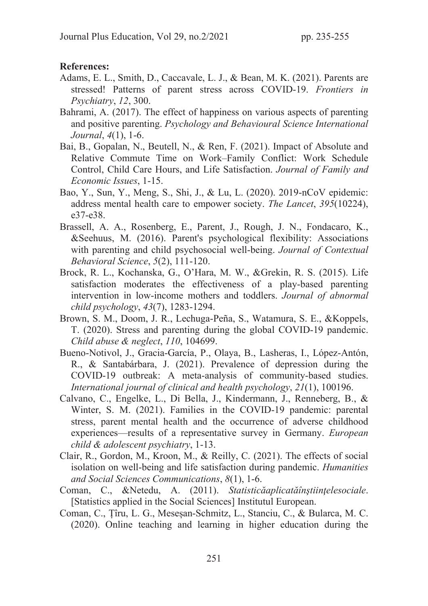### References:

- Adams, E. L., Smith, D., Caccavale, L. J., & Bean, M. K. (2021). Parents are stressed! Patterns of parent stress across COVID-19. Frontiers in Psychiatry, 12, 300.
- Bahrami, A. (2017). The effect of happiness on various aspects of parenting and positive parenting. Psychology and Behavioural Science International Journal, 4(1), 1-6.
- Bai, B., Gopalan, N., Beutell, N., & Ren, F. (2021). Impact of Absolute and Relative Commute Time on Work–Family Conflict: Work Schedule Control, Child Care Hours, and Life Satisfaction. Journal of Family and Economic Issues, 1-15.
- Bao, Y., Sun, Y., Meng, S., Shi, J., & Lu, L. (2020). 2019-nCoV epidemic: address mental health care to empower society. The Lancet, 395(10224), e37-e38.
- Brassell, A. A., Rosenberg, E., Parent, J., Rough, J. N., Fondacaro, K., &Seehuus, M. (2016). Parent's psychological flexibility: Associations with parenting and child psychosocial well-being. *Journal of Contextual* Behavioral Science, 5(2), 111-120.
- Brock, R. L., Kochanska, G., O'Hara, M. W., &Grekin, R. S. (2015). Life satisfaction moderates the effectiveness of a play-based parenting intervention in low-income mothers and toddlers. Journal of abnormal child psychology, 43(7), 1283-1294.
- Brown, S. M., Doom, J. R., Lechuga-Peña, S., Watamura, S. E., &Koppels, T. (2020). Stress and parenting during the global COVID-19 pandemic. Child abuse & neglect, 110, 104699.
- Bueno-Notivol, J., Gracia-García, P., Olaya, B., Lasheras, I., López-Antón, R., & Santabárbara, J. (2021). Prevalence of depression during the COVID-19 outbreak: A meta-analysis of community-based studies. International journal of clinical and health psychology, 21(1), 100196.
- Calvano, C., Engelke, L., Di Bella, J., Kindermann, J., Renneberg, B., & Winter, S. M. (2021). Families in the COVID-19 pandemic: parental stress, parent mental health and the occurrence of adverse childhood experiences—results of a representative survey in Germany. European child & adolescent psychiatry, 1-13.
- Clair, R., Gordon, M., Kroon, M., & Reilly, C. (2021). The effects of social isolation on well-being and life satisfaction during pandemic. Humanities and Social Sciences Communications, 8(1), 1-6.
- Coman, C., &Netedu, A. (2011). Statisticăaplicatăînștiințelesociale. [Statistics applied in the Social Sciences] Institutul European.
- Coman, C., Țîru, L. G., Meseșan-Schmitz, L., Stanciu, C., & Bularca, M. C. (2020). Online teaching and learning in higher education during the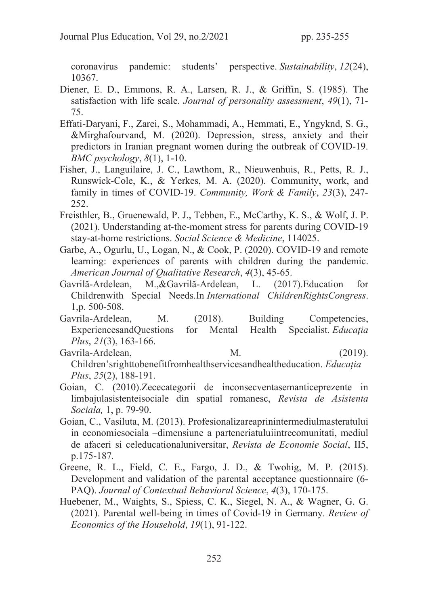coronavirus pandemic: students' perspective. Sustainability, 12(24), 10367.

- Diener, E. D., Emmons, R. A., Larsen, R. J., & Griffin, S. (1985). The satisfaction with life scale. Journal of personality assessment, 49(1), 71-75.
- Effati-Daryani, F., Zarei, S., Mohammadi, A., Hemmati, E., Yngyknd, S. G., &Mirghafourvand, M. (2020). Depression, stress, anxiety and their predictors in Iranian pregnant women during the outbreak of COVID-19.  $BMC$  psychology,  $8(1)$ , 1-10.
- Fisher, J., Languilaire, J. C., Lawthom, R., Nieuwenhuis, R., Petts, R. J., Runswick-Cole, K., & Yerkes, M. A. (2020). Community, work, and family in times of COVID-19. Community, Work & Family, 23(3), 247-252.
- Freisthler, B., Gruenewald, P. J., Tebben, E., McCarthy, K. S., & Wolf, J. P. (2021). Understanding at-the-moment stress for parents during COVID-19 stay-at-home restrictions. Social Science & Medicine, 114025.
- Garbe, A., Ogurlu, U., Logan, N., & Cook, P. (2020). COVID-19 and remote learning: experiences of parents with children during the pandemic. American Journal of Qualitative Research, 4(3), 45-65.
- Gavrilă-Ardelean, M.,&Gavrilă-Ardelean, L. (2017).Education for Childrenwith Special Needs.In International ChildrenRightsCongress. 1,p. 500-508.
- Gavrila-Ardelean, M. (2018). Building Competencies, ExperiencesandQuestions for Mental Health Specialist. Educația Plus, 21(3), 163-166.
- Gavrila-Ardelean, M. (2019). Children'srighttobenefitfromhealthservicesandhealtheducation. Educația Plus, 25(2), 188-191.
- Goian, C. (2010).Zececategorii de inconsecventasemanticeprezente in limbajulasistenteisociale din spatial romanesc, Revista de Asistenta Sociala, 1, p. 79-90.
- Goian, C., Vasiluta, M. (2013). Profesionalizareaprinintermediulmasteratului in economiesociala –dimensiune a parteneriatuluiintrecomunitati, mediul de afaceri si celeducationaluniversitar, Revista de Economie Social, II5, p.175-187.
- Greene, R. L., Field, C. E., Fargo, J. D., & Twohig, M. P. (2015). Development and validation of the parental acceptance questionnaire (6- PAQ). Journal of Contextual Behavioral Science, 4(3), 170-175.
- Huebener, M., Waights, S., Spiess, C. K., Siegel, N. A., & Wagner, G. G. (2021). Parental well-being in times of Covid-19 in Germany. Review of Economics of the Household, 19(1), 91-122.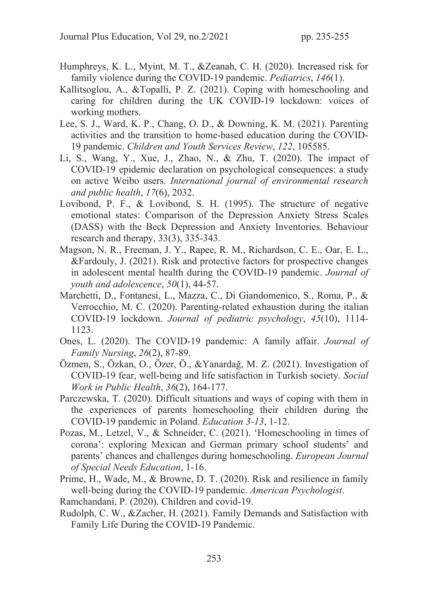- Humphreys, K. L., Myint, M. T., &Zeanah, C. H. (2020). Increased risk for family violence during the COVID-19 pandemic. *Pediatrics*, 146(1).
- Kallitsoglou, A., &Topalli, P. Z. (2021). Coping with homeschooling and caring for children during the UK COVID-19 lockdown: voices of working mothers.
- Lee, S. J., Ward, K. P., Chang, O. D., & Downing, K. M. (2021). Parenting activities and the transition to home-based education during the COVID-19 pandemic. Children and Youth Services Review, 122, 105585.
- Li, S., Wang, Y., Xue, J., Zhao, N., & Zhu, T. (2020). The impact of COVID-19 epidemic declaration on psychological consequences: a study on active Weibo users. International journal of environmental research and public health, 17(6), 2032.
- Lovibond, P. F., & Lovibond, S. H. (1995). The structure of negative emotional states: Comparison of the Depression Anxiety Stress Scales (DASS) with the Beck Depression and Anxiety Inventories. Behaviour research and therapy, 33(3), 335-343.
- Magson, N. R., Freeman, J. Y., Rapee, R. M., Richardson, C. E., Oar, E. L., &Fardouly, J. (2021). Risk and protective factors for prospective changes in adolescent mental health during the COVID-19 pandemic. Journal of youth and adolescence, 50(1), 44-57.
- Marchetti, D., Fontanesi, L., Mazza, C., Di Giandomenico, S., Roma, P., & Verrocchio, M. C. (2020). Parenting-related exhaustion during the italian COVID-19 lockdown. Journal of pediatric psychology, 45(10), 1114- 1123.
- Ones, L. (2020). The COVID-19 pandemic: A family affair. Journal of Family Nursing, 26(2), 87-89.
- Özmen, S., Özkan, O., Özer, Ö., &Yanardağ, M. Z. (2021). Investigation of COVID-19 fear, well-being and life satisfaction in Turkish society. Social Work in Public Health, 36(2), 164-177.
- Parczewska, T. (2020). Difficult situations and ways of coping with them in the experiences of parents homeschooling their children during the COVID-19 pandemic in Poland. Education 3-13, 1-12.
- Pozas, M., Letzel, V., & Schneider, C. (2021). 'Homeschooling in times of corona': exploring Mexican and German primary school students' and parents' chances and challenges during homeschooling. European Journal of Special Needs Education, 1-16.
- Prime, H., Wade, M., & Browne, D. T. (2020). Risk and resilience in family well-being during the COVID-19 pandemic. American Psychologist.
- Ramchandani, P. (2020). Children and covid-19.
- Rudolph, C. W., &Zacher, H. (2021). Family Demands and Satisfaction with Family Life During the COVID-19 Pandemic.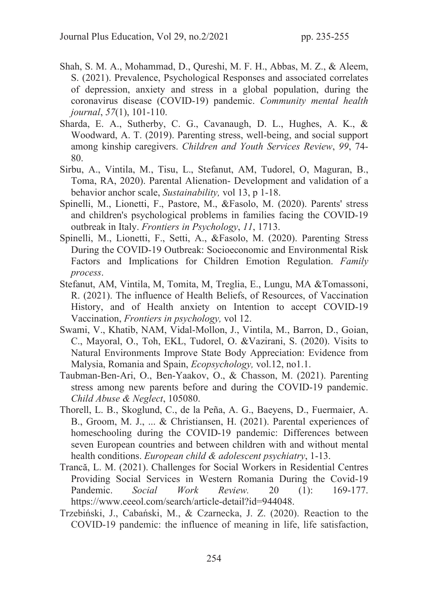- Shah, S. M. A., Mohammad, D., Qureshi, M. F. H., Abbas, M. Z., & Aleem, S. (2021). Prevalence, Psychological Responses and associated correlates of depression, anxiety and stress in a global population, during the coronavirus disease (COVID-19) pandemic. Community mental health journal, 57(1), 101-110.
- Sharda, E. A., Sutherby, C. G., Cavanaugh, D. L., Hughes, A. K., & Woodward, A. T. (2019). Parenting stress, well-being, and social support among kinship caregivers. Children and Youth Services Review, 99, 74- 80.
- Sirbu, A., Vintila, M., Tisu, L., Stefanut, AM, Tudorel, O, Maguran, B., Toma, RA, 2020). Parental Alienation- Development and validation of a behavior anchor scale, Sustainability, vol 13, p 1-18.
- Spinelli, M., Lionetti, F., Pastore, M., &Fasolo, M. (2020). Parents' stress and children's psychological problems in families facing the COVID-19 outbreak in Italy. Frontiers in Psychology, 11, 1713.
- Spinelli, M., Lionetti, F., Setti, A., &Fasolo, M. (2020). Parenting Stress During the COVID‐19 Outbreak: Socioeconomic and Environmental Risk Factors and Implications for Children Emotion Regulation. Family process.
- Stefanut, AM, Vintila, M, Tomita, M, Treglia, E., Lungu, MA &Tomassoni, R. (2021). The influence of Health Beliefs, of Resources, of Vaccination History, and of Health anxiety on Intention to accept COVID-19 Vaccination, Frontiers in psychology, vol 12.
- Swami, V., Khatib, NAM, Vidal-Mollon, J., Vintila, M., Barron, D., Goian, C., Mayoral, O., Toh, EKL, Tudorel, O. &Vazirani, S. (2020). Visits to Natural Environments Improve State Body Appreciation: Evidence from Malysia, Romania and Spain, *Ecopsychology*, vol.12, no1.1.
- Taubman-Ben-Ari, O., Ben-Yaakov, O., & Chasson, M. (2021). Parenting stress among new parents before and during the COVID-19 pandemic. Child Abuse & Neglect, 105080.
- Thorell, L. B., Skoglund, C., de la Peña, A. G., Baeyens, D., Fuermaier, A. B., Groom, M. J., ... & Christiansen, H. (2021). Parental experiences of homeschooling during the COVID-19 pandemic: Differences between seven European countries and between children with and without mental health conditions. European child & adolescent psychiatry, 1-13.
- Trancă, L. M. (2021). Challenges for Social Workers in Residential Centres Providing Social Services in Western Romania During the Covid-19 Pandemic. Social Work Review. 20 (1): 169-177. https://www.ceeol.com/search/article-detail?id=944048.
- Trzebiński, J., Cabański, M., & Czarnecka, J. Z. (2020). Reaction to the COVID-19 pandemic: the influence of meaning in life, life satisfaction,